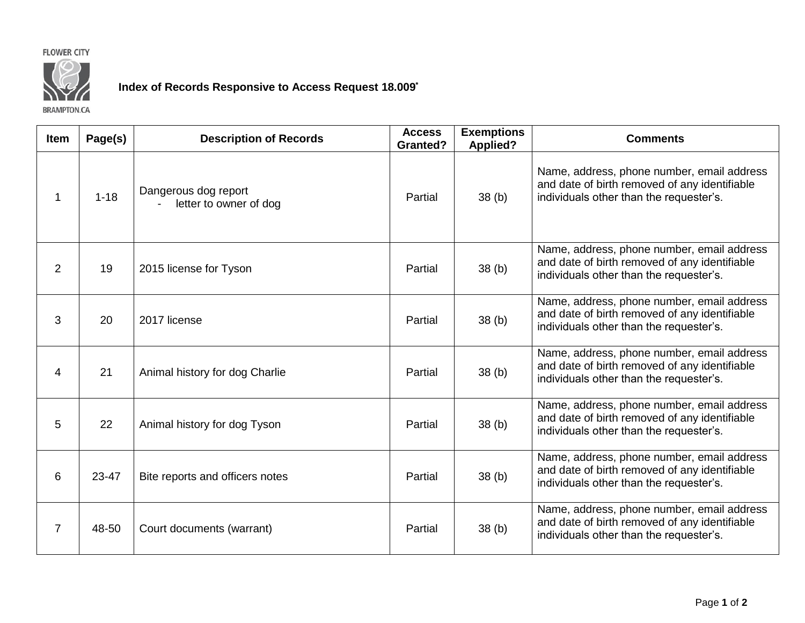



## **Index of Records Responsive to Access Request 18.009\***

**BRAMPTON.CA** 

| Item           | Page(s)  | <b>Description of Records</b>                  | <b>Access</b><br><b>Granted?</b> | <b>Exemptions</b><br><b>Applied?</b> | <b>Comments</b>                                                                                                                        |
|----------------|----------|------------------------------------------------|----------------------------------|--------------------------------------|----------------------------------------------------------------------------------------------------------------------------------------|
| $\mathbf 1$    | $1 - 18$ | Dangerous dog report<br>letter to owner of dog | Partial                          | 38 <sub>(b)</sub>                    | Name, address, phone number, email address<br>and date of birth removed of any identifiable<br>individuals other than the requester's. |
| 2              | 19       | 2015 license for Tyson                         | Partial                          | 38 <sub>(b)</sub>                    | Name, address, phone number, email address<br>and date of birth removed of any identifiable<br>individuals other than the requester's. |
| 3              | 20       | 2017 license                                   | Partial                          | 38 <sub>(b)</sub>                    | Name, address, phone number, email address<br>and date of birth removed of any identifiable<br>individuals other than the requester's. |
| 4              | 21       | Animal history for dog Charlie                 | Partial                          | 38 <sub>(b)</sub>                    | Name, address, phone number, email address<br>and date of birth removed of any identifiable<br>individuals other than the requester's. |
| 5              | 22       | Animal history for dog Tyson                   | Partial                          | 38 <sub>(b)</sub>                    | Name, address, phone number, email address<br>and date of birth removed of any identifiable<br>individuals other than the requester's. |
| 6              | 23-47    | Bite reports and officers notes                | Partial                          | 38(b)                                | Name, address, phone number, email address<br>and date of birth removed of any identifiable<br>individuals other than the requester's. |
| $\overline{7}$ | 48-50    | Court documents (warrant)                      | Partial                          | 38 <sub>(b)</sub>                    | Name, address, phone number, email address<br>and date of birth removed of any identifiable<br>individuals other than the requester's. |